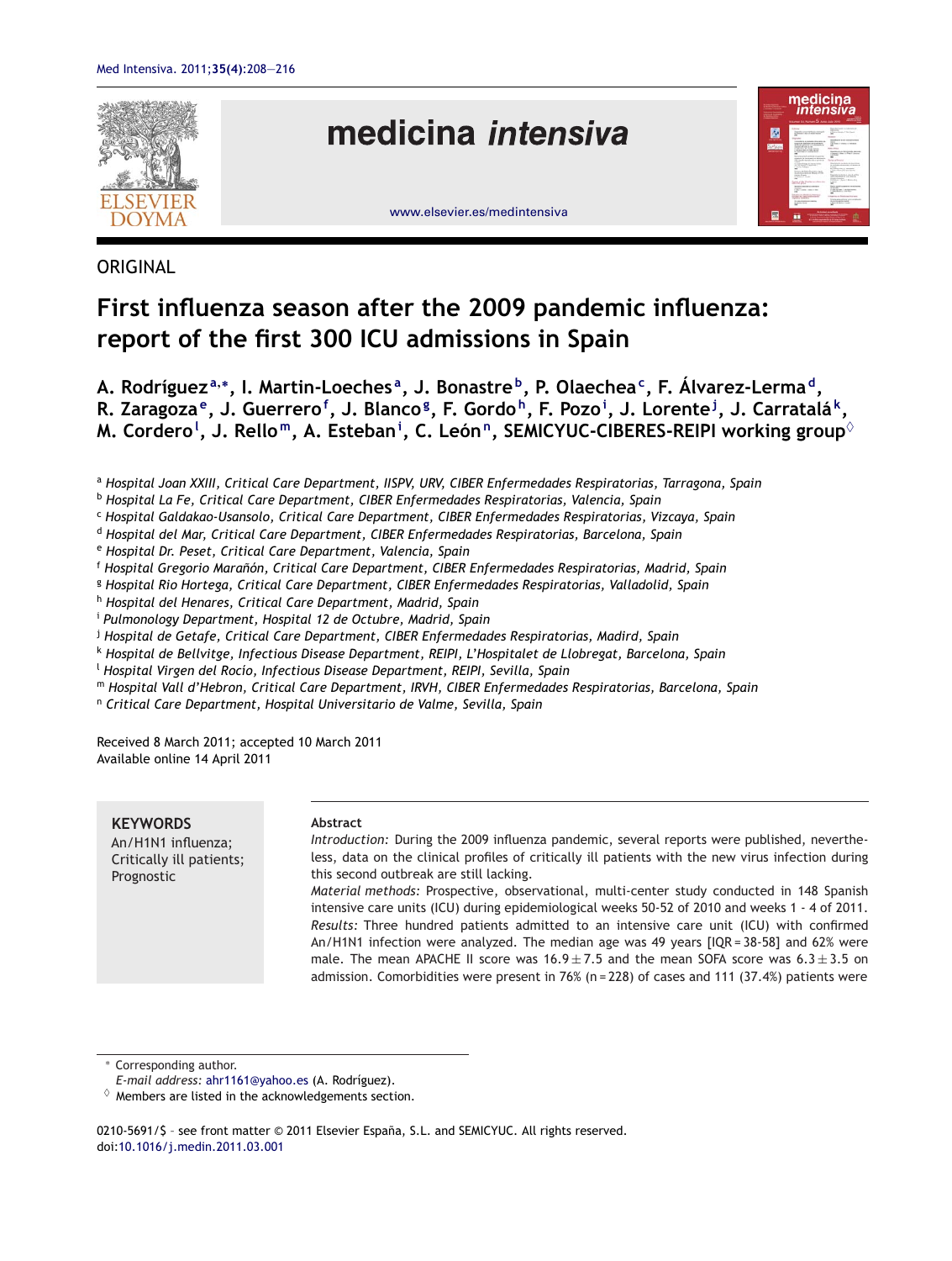

# **ORIGINAL**

# **First influenza season after the 2009 pandemic influenza: report of the first 300 ICU admissions in Spain**

**A. Rodríguez <sup>a</sup>,∗, I. Martin-Loeches a, J. Bonastre b, P. Olaecheac, F. Álvarez-Lerma d, R. Zaragoza e, J. Guerrerof , J. Blancog, F. Gordo h, F. Pozoi , J. Lorente<sup>j</sup> , J. Carratalá k, M. Cordero<sup>l</sup> , J. Rello m, A. Estebani , C. Leónn, SEMICYUC-CIBERES-REIPI working group**♦

<sup>a</sup> *Hospital Joan XXIII, Critical Care Department, IISPV, URV, CIBER Enfermedades Respiratorias, Tarragona, Spain*

<sup>b</sup> *Hospital La Fe, Critical Care Department, CIBER Enfermedades Respiratorias, Valencia, Spain*

<sup>c</sup> *Hospital Galdakao-Usansolo, Critical Care Department, CIBER Enfermedades Respiratorias, Vizcaya, Spain*

<sup>d</sup> *Hospital del Mar, Critical Care Department, CIBER Enfermedades Respiratorias, Barcelona, Spain*

<sup>e</sup> *Hospital Dr. Peset, Critical Care Department, Valencia, Spain*

<sup>f</sup> *Hospital Gregorio Maranón, Critical Care Department, CIBER Enfermedades Respiratorias, Madrid, Spain ˜*

<sup>g</sup> *Hospital Rio Hortega, Critical Care Department, CIBER Enfermedades Respiratorias, Valladolid, Spain*

<sup>h</sup> *Hospital del Henares, Critical Care Department, Madrid, Spain*

<sup>i</sup> *Pulmonology Department, Hospital 12 de Octubre, Madrid, Spain*

<sup>j</sup> *Hospital de Getafe, Critical Care Department, CIBER Enfermedades Respiratorias, Madird, Spain*

<sup>k</sup> *Hospital de Bellvitge, Infectious Disease Department, REIPI, L'Hospitalet de Llobregat, Barcelona, Spain*

<sup>l</sup> *Hospital Virgen del Rocío, Infectious Disease Department, REIPI, Sevilla, Spain*

<sup>m</sup> *Hospital Vall d'Hebron, Critical Care Department, IRVH, CIBER Enfermedades Respiratorias, Barcelona, Spain*

<sup>n</sup> *Critical Care Department, Hospital Universitario de Valme, Sevilla, Spain*

Received 8 March 2011; accepted 10 March 2011 Available online 14 April 2011

**KEYWORDS** An/H1N1 influenza; Critically ill patients; Prognostic

#### **Abstract**

*Introduction:* During the 2009 influenza pandemic, several reports were published, nevertheless, data on the clinical profiles of critically ill patients with the new virus infection during this second outbreak are still lacking.

*Material methods:* Prospective, observational, multi-center study conducted in 148 Spanish intensive care units (ICU) during epidemiological weeks 50-52 of 2010 and weeks 1 - 4 of 2011. *Results:* Three hundred patients admitted to an intensive care unit (ICU) with confirmed An/H1N1 infection were analyzed. The median age was 49 years [IQR = 38-58] and 62% were male. The mean APACHE II score was  $16.9 \pm 7.5$  and the mean SOFA score was  $6.3 \pm 3.5$  on admission. Comorbidities were present in 76% (n = 228) of cases and 111 (37.4%) patients were

Corresponding author.

 $\Diamond$  Members are listed in the acknowledgements section.

0210-5691/\$ – see front matter © 2011 Elsevier España, S.L. and SEMICYUC. All rights reserved. doi:[10.1016/j.medin.2011.03.001](dx.doi.org/10.1016/j.medin.2011.03.001)

*E-mail address:* [ahr1161@yahoo.es](mailto:ahr1161@yahoo.es) (A. Rodríguez).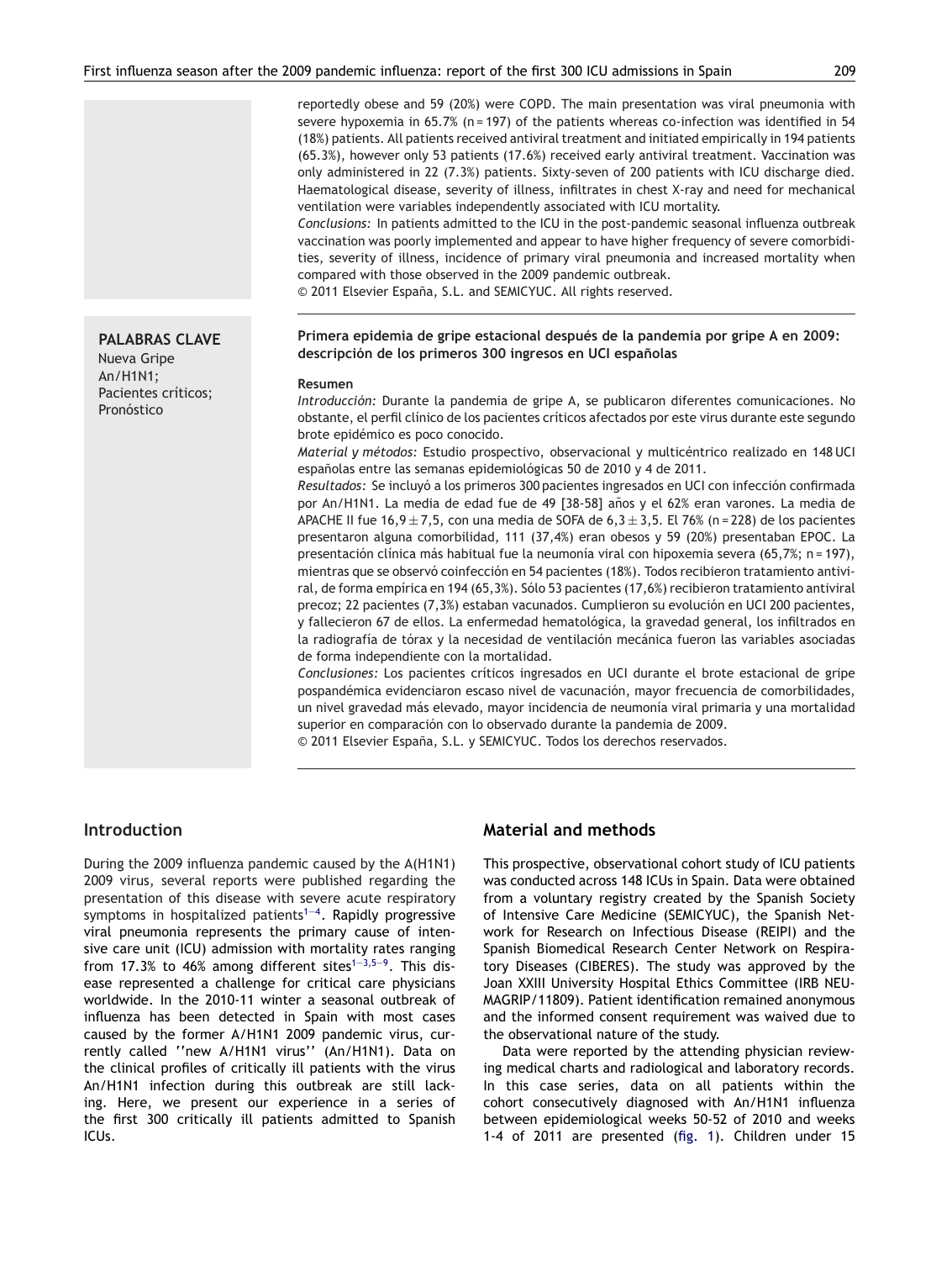reportedly obese and 59 (20%) were COPD. The main presentation was viral pneumonia with severe hypoxemia in 65.7% (n = 197) of the patients whereas co-infection was identified in 54 (18%) patients. All patients received antiviral treatment and initiated empirically in 194 patients (65.3%), however only 53 patients (17.6%) received early antiviral treatment. Vaccination was only administered in 22 (7.3%) patients. Sixty-seven of 200 patients with ICU discharge died. Haematological disease, severity of illness, infiltrates in chest X-ray and need for mechanical ventilation were variables independently associated with ICU mortality.

*Conclusions:* In patients admitted to the ICU in the post-pandemic seasonal influenza outbreak vaccination was poorly implemented and appear to have higher frequency of severe comorbidities, severity of illness, incidence of primary viral pneumonia and increased mortality when compared with those observed in the 2009 pandemic outbreak.

© 2011 Elsevier España, S.L. and SEMICYUC. All rights reserved.

#### **Primera epidemia de gripe estacional después de la pandemia por gripe A en 2009: descripción de los primeros 300 ingresos en UCI espanolas ˜**

#### **Resumen**

*Introducción:* Durante la pandemia de gripe A, se publicaron diferentes comunicaciones. No obstante, el perfil clínico de los pacientes críticos afectados por este virus durante este segundo brote epidémico es poco conocido.

*Material y métodos:* Estudio prospectivo, observacional y multicéntrico realizado en 148 UCI españolas entre las semanas epidemiológicas 50 de 2010 y 4 de 2011.

*Resultados:* Se incluyó a los primeros 300 pacientes ingresados en UCI con infección confirmada por An/H1N1. La media de edad fue de 49 [38-58] años y el 62% eran varones. La media de APACHE II fue 16,9  $\pm$  7,5, con una media de SOFA de 6,3  $\pm$  3,5. El 76% (n = 228) de los pacientes presentaron alguna comorbilidad, 111 (37,4%) eran obesos y 59 (20%) presentaban EPOC. La presentación clínica más habitual fue la neumonía viral con hipoxemia severa (65,7%; n = 197), mientras que se observó coinfección en 54 pacientes (18%). Todos recibieron tratamiento antiviral, de forma empírica en 194 (65,3%). Sólo 53 pacientes (17,6%) recibieron tratamiento antiviral precoz; 22 pacientes (7,3%) estaban vacunados. Cumplieron su evolución en UCI 200 pacientes, y fallecieron 67 de ellos. La enfermedad hematológica, la gravedad general, los infiltrados en la radiografía de tórax y la necesidad de ventilación mecánica fueron las variables asociadas de forma independiente con la mortalidad.

*Conclusiones:* Los pacientes críticos ingresados en UCI durante el brote estacional de gripe pospandémica evidenciaron escaso nivel de vacunación, mayor frecuencia de comorbilidades, un nivel gravedad más elevado, mayor incidencia de neumonía viral primaria y una mortalidad superior en comparación con lo observado durante la pandemia de 2009.

© 2011 Elsevier España, S.L. y SEMICYUC. Todos los derechos reservados.

# **Introduction**

During the 2009 influenza pandemic caused by the A(H1N1) 2009 virus, several reports were published regarding the presentation of this disease with severe acute respiratory symptoms in hospitalized patients<sup> $1-4$ </sup>. Rapidly progressive viral pneumonia represents the primary cause of intensive care unit (ICU) admission with mortality rates ranging from 17.3% to 46% among different sites<sup>1-3,5-9</sup>. This disease represented a challenge for critical care physicians worldwide. In the 2010-11 winter a seasonal outbreak of influenza has been detected in Spain with most cases caused by the former A/H1N1 2009 pandemic virus, currently called ''new A/H1N1 virus'' (An/H1N1). Data on the clinical profiles of critically ill patients with the virus An/H1N1 infection during this outbreak are still lacking. Here, we present our experience in a series of the first 300 critically ill patients admitted to Spanish ICUs.

#### **Material and methods**

This prospective, observational cohort study of ICU patients was conducted across 148 ICUs in Spain. Data were obtained from a voluntary registry created by the Spanish Society of Intensive Care Medicine (SEMICYUC), the Spanish Network for Research on Infectious Disease (REIPI) and the Spanish Biomedical Research Center Network on Respiratory Diseases (CIBERES). The study was approved by the Joan XXIII University Hospital Ethics Committee (IRB NEU-MAGRIP/11809). Patient identification remained anonymous and the informed consent requirement was waived due to the observational nature of the study.

Data were reported by the attending physician reviewing medical charts and radiological and laboratory records. In this case series, data on all patients within the cohort consecutively diagnosed with An/H1N1 influenza between epidemiological weeks 50-52 of 2010 and weeks 1-4 of 2011 are presented ([fig. 1\)](#page-2-0). Children under 15

# **PALABRAS CLAVE**

Nueva Gripe An/H1N1; Pacientes críticos; Pronóstico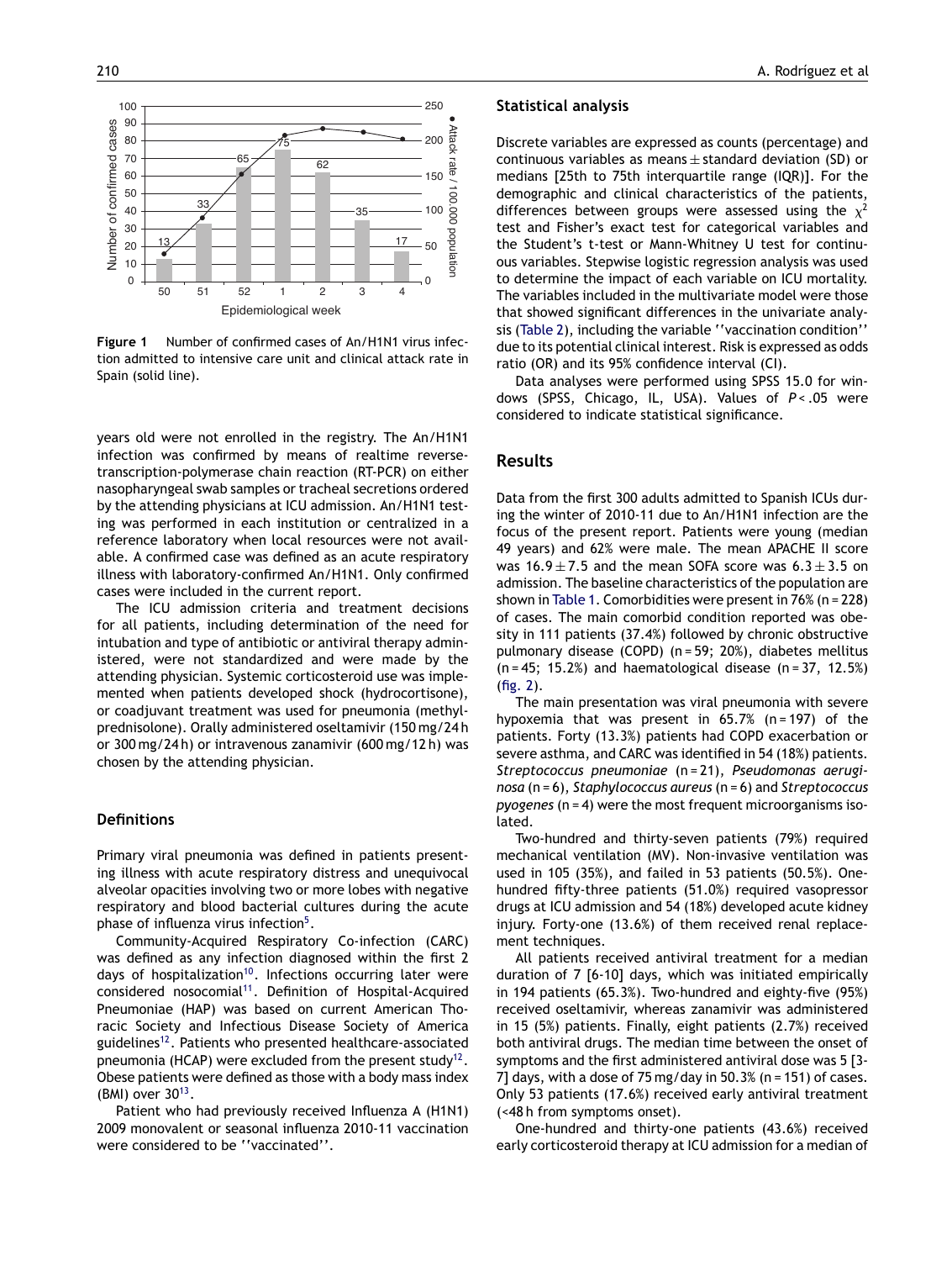<span id="page-2-0"></span>

**Figure 1** Number of confirmed cases of An/H1N1 virus infection admitted to intensive care unit and clinical attack rate in Spain (solid line).

years old were not enrolled in the registry. The An/H1N1 infection was confirmed by means of realtime reversetranscription-polymerase chain reaction (RT-PCR) on either nasopharyngeal swab samples or tracheal secretions ordered by the attending physicians at ICU admission. An/H1N1 testing was performed in each institution or centralized in a reference laboratory when local resources were not available. A confirmed case was defined as an acute respiratory illness with laboratory-confirmed An/H1N1. Only confirmed cases were included in the current report.

The ICU admission criteria and treatment decisions for all patients, including determination of the need for intubation and type of antibiotic or antiviral therapy administered, were not standardized and were made by the attending physician. Systemic corticosteroid use was implemented when patients developed shock (hydrocortisone), or coadjuvant treatment was used for pneumonia (methylprednisolone). Orally administered oseltamivir (150 mg/24 h or 300 mg/24 h) or intravenous zanamivir (600 mg/12 h) was chosen by the attending physician.

#### **Definitions**

Primary viral pneumonia was defined in patients presenting illness with acute respiratory distress and unequivocal alveolar opacities involving two or more lobes with negative respiratory and blood bacterial cultures during the acute phase of influenza virus infection<sup>5</sup>.

Community-Acquired Respiratory Co-infection (CARC) was defined as any infection diagnosed within the first 2 days of hospitalization<sup>10</sup>. Infections occurring later were considered nosocomial<sup>11</sup>. Definition of Hospital-Acquired Pneumoniae (HAP) was based on current American Thoracic Society and Infectious Disease Society of America guidelines[12.](#page-8-0) Patients who presented healthcare-associated pneumonia (HCAP) were excluded from the present study<sup>12</sup>. Obese patients were defined as those with a body mass index  $(BMI)$  over 30<sup>13</sup>.

Patient who had previously received Influenza A (H1N1) 2009 monovalent or seasonal influenza 2010-11 vaccination were considered to be ''vaccinated''.

#### **Statistical analysis**

Discrete variables are expressed as counts (percentage) and continuous variables as means  $\pm$  standard deviation (SD) or medians [25th to 75th interquartile range (IQR)]. For the demographic and clinical characteristics of the patients, differences between groups were assessed using the  $\chi^2$ test and Fisher's exact test for categorical variables and the Student's t-test or Mann-Whitney U test for continuous variables. Stepwise logistic regression analysis was used to determine the impact of each variable on ICU mortality. The variables included in the multivariate model were those that showed significant differences in the univariate analysis [\(Table 2\),](#page-4-0) including the variable ''vaccination condition'' due to its potential clinical interest. Risk is expressed as odds ratio (OR) and its 95% confidence interval (CI).

Data analyses were performed using SPSS 15.0 for windows (SPSS, Chicago, IL, USA). Values of *P* < .05 were considered to indicate statistical significance.

### **Results**

Data from the first 300 adults admitted to Spanish ICUs during the winter of 2010-11 due to An/H1N1 infection are the focus of the present report. Patients were young (median 49 years) and 62% were male. The mean APACHE II score was  $16.9 \pm 7.5$  and the mean SOFA score was  $6.3 \pm 3.5$  on admission. The baseline characteristics of the population are shown in [Table 1. C](#page-3-0)omorbidities were present in 76% (n = 228) of cases. The main comorbid condition reported was obesity in 111 patients (37.4%) followed by chronic obstructive pulmonary disease (COPD) (n = 59; 20%), diabetes mellitus  $(n = 45; 15.2%)$  and haematological disease  $(n = 37, 12.5%)$ [\(fig. 2\).](#page-3-0)

The main presentation was viral pneumonia with severe hypoxemia that was present in  $65.7%$  (n = 197) of the patients. Forty (13.3%) patients had COPD exacerbation or severe asthma, and CARC was identified in 54 (18%) patients. *Streptococcus pneumoniae* (n = 21), *Pseudomonas aeruginosa* (n = 6), *Staphylococcus aureus* (n = 6) and *Streptococcus pyogenes* (n = 4) were the most frequent microorganisms isolated.

Two-hundred and thirty-seven patients (79%) required mechanical ventilation (MV). Non-invasive ventilation was used in 105 (35%), and failed in 53 patients (50.5%). Onehundred fifty-three patients (51.0%) required vasopressor drugs at ICU admission and 54 (18%) developed acute kidney injury. Forty-one (13.6%) of them received renal replacement techniques.

All patients received antiviral treatment for a median duration of 7 [6-10] days, which was initiated empirically in 194 patients (65.3%). Two-hundred and eighty-five (95%) received oseltamivir, whereas zanamivir was administered in 15 (5%) patients. Finally, eight patients (2.7%) received both antiviral drugs. The median time between the onset of symptoms and the first administered antiviral dose was 5 [3- 7] days, with a dose of 75 mg/day in 50.3% ( $n = 151$ ) of cases. Only 53 patients (17.6%) received early antiviral treatment (<48 h from symptoms onset).

One-hundred and thirty-one patients (43.6%) received early corticosteroid therapy at ICU admission for a median of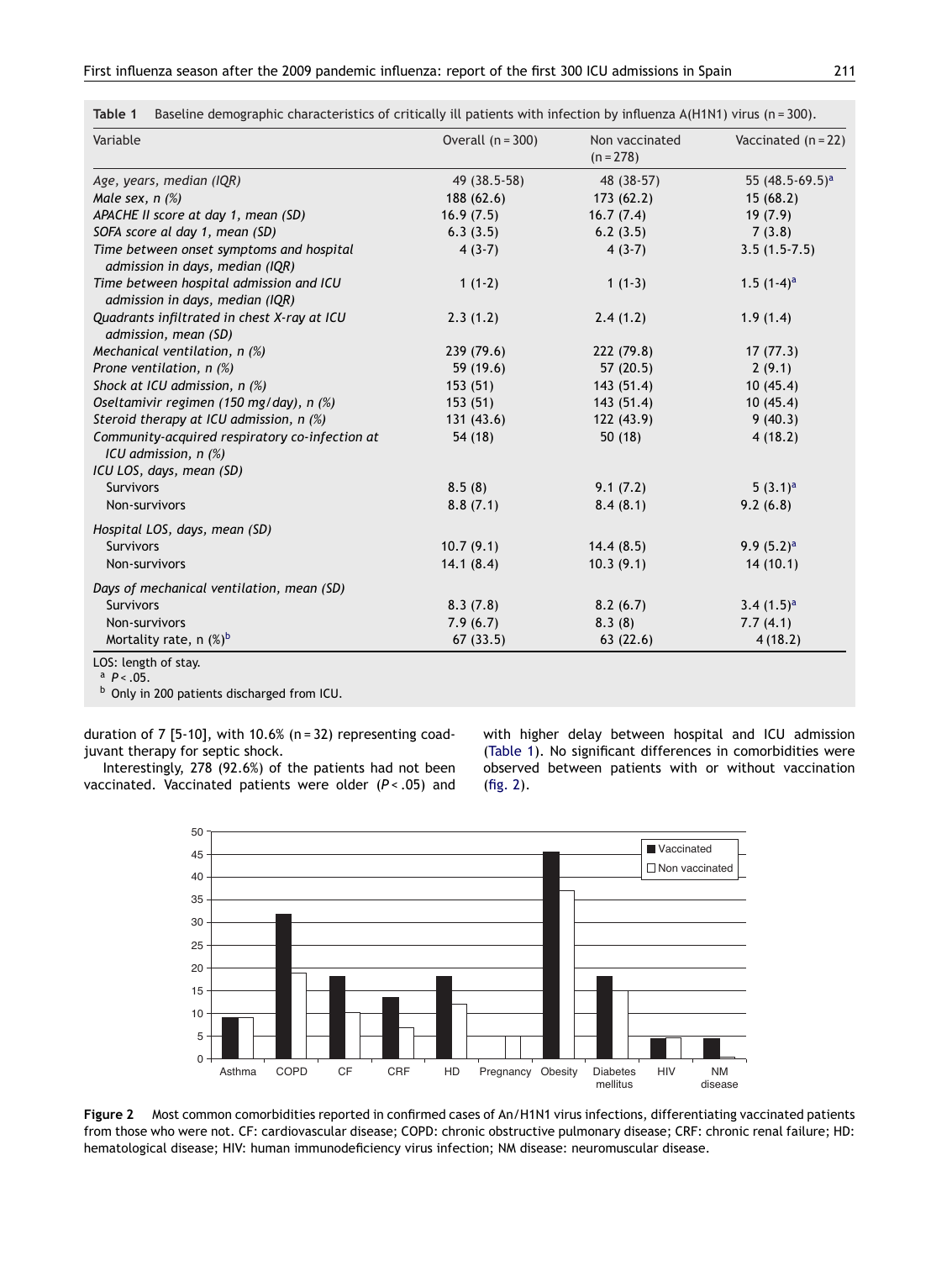<span id="page-3-0"></span>**Table 1** Baseline demographic characteristics of critically ill patients with infection by influenza A(H1N1) virus (n = 300).

| Variable                                                                    | Overall $(n = 300)$ | Non vaccinated<br>$(n = 278)$ | Vaccinated $(n = 22)$ |  |
|-----------------------------------------------------------------------------|---------------------|-------------------------------|-----------------------|--|
| Age, years, median (IQR)                                                    | 49 (38.5-58)        | 48 (38-57)                    | 55 $(48.5-69.5)^a$    |  |
| Male sex, $n$ $\left(\% \right)$                                            | 188 (62.6)          | 173(62.2)                     | 15(68.2)              |  |
| APACHE II score at day 1, mean (SD)                                         | 16.9(7.5)           | 16.7(7.4)                     | 19(7.9)               |  |
| SOFA score al day 1, mean (SD)                                              | 6.3(3.5)            | 6.2(3.5)                      | 7(3.8)                |  |
| Time between onset symptoms and hospital<br>admission in days, median (IQR) | $4(3-7)$            | $4(3-7)$                      | $3.5(1.5-7.5)$        |  |
| Time between hospital admission and ICU<br>admission in days, median (IQR)  | $1(1-2)$            | $1(1-3)$                      | $1.5(1-4)^a$          |  |
| Quadrants infiltrated in chest X-ray at ICU<br>admission, mean (SD)         | 2.3(1.2)            | 2.4(1.2)                      | 1.9(1.4)              |  |
| Mechanical ventilation, $n$ (%)                                             | 239 (79.6)          | 222 (79.8)                    | 17(77.3)              |  |
| Prone ventilation, $n$ (%)                                                  | 59 (19.6)           | 57(20.5)                      | 2(9.1)                |  |
| Shock at ICU admission, $n$ (%)                                             | 153(51)             | 143(51.4)                     | 10(45.4)              |  |
| Oseltamivir regimen (150 mg/day), n (%)                                     | 153(51)             | 143(51.4)                     | 10(45.4)              |  |
| Steroid therapy at ICU admission, n (%)                                     | 131(43.6)           | 122 (43.9)                    | 9(40.3)               |  |
| Community-acquired respiratory co-infection at<br>ICU admission, n (%)      | 54 (18)             | 50(18)                        | 4(18.2)               |  |
| ICU LOS, days, mean (SD)                                                    |                     |                               |                       |  |
| <b>Survivors</b>                                                            | 8.5(8)              | 9.1(7.2)                      | 5 $(3.1)^a$           |  |
| Non-survivors                                                               | 8.8(7.1)            | 8.4(8.1)                      | 9.2(6.8)              |  |
| Hospital LOS, days, mean (SD)                                               |                     |                               |                       |  |
| <b>Survivors</b>                                                            | 10.7(9.1)           | 14.4(8.5)                     | 9.9 $(5.2)^a$         |  |
| Non-survivors                                                               | 14.1(8.4)           | 10.3(9.1)                     | 14(10.1)              |  |
| Days of mechanical ventilation, mean (SD)                                   |                     |                               |                       |  |
| <b>Survivors</b>                                                            | 8.3(7.8)            | 8.2(6.7)                      | 3.4 $(1.5)^a$         |  |
| Non-survivors                                                               | 7.9(6.7)            | 8.3(8)                        | 7.7(4.1)              |  |
| Mortality rate, $n$ (%) <sup>b</sup>                                        | 67(33.5)            | 63(22.6)                      | 4(18.2)               |  |
| $100.$ $100$ $100$                                                          |                     |                               |                       |  |

LOS: length of stay.

<sup>a</sup> *P* < .05.

b Only in 200 patients discharged from ICU.

duration of 7 [5-10], with 10.6% ( $n = 32$ ) representing coadjuvant therapy for septic shock.

Interestingly, 278 (92.6%) of the patients had not been vaccinated. Vaccinated patients were older (*P* < .05) and with higher delay between hospital and ICU admission (Table 1). No significant differences in comorbidities were observed between patients with or without vaccination (fig. 2).



**Figure 2** Most common comorbidities reported in confirmed cases of An/H1N1 virus infections, differentiating vaccinated patients from those who were not. CF: cardiovascular disease; COPD: chronic obstructive pulmonary disease; CRF: chronic renal failure; HD: hematological disease; HIV: human immunodeficiency virus infection; NM disease: neuromuscular disease.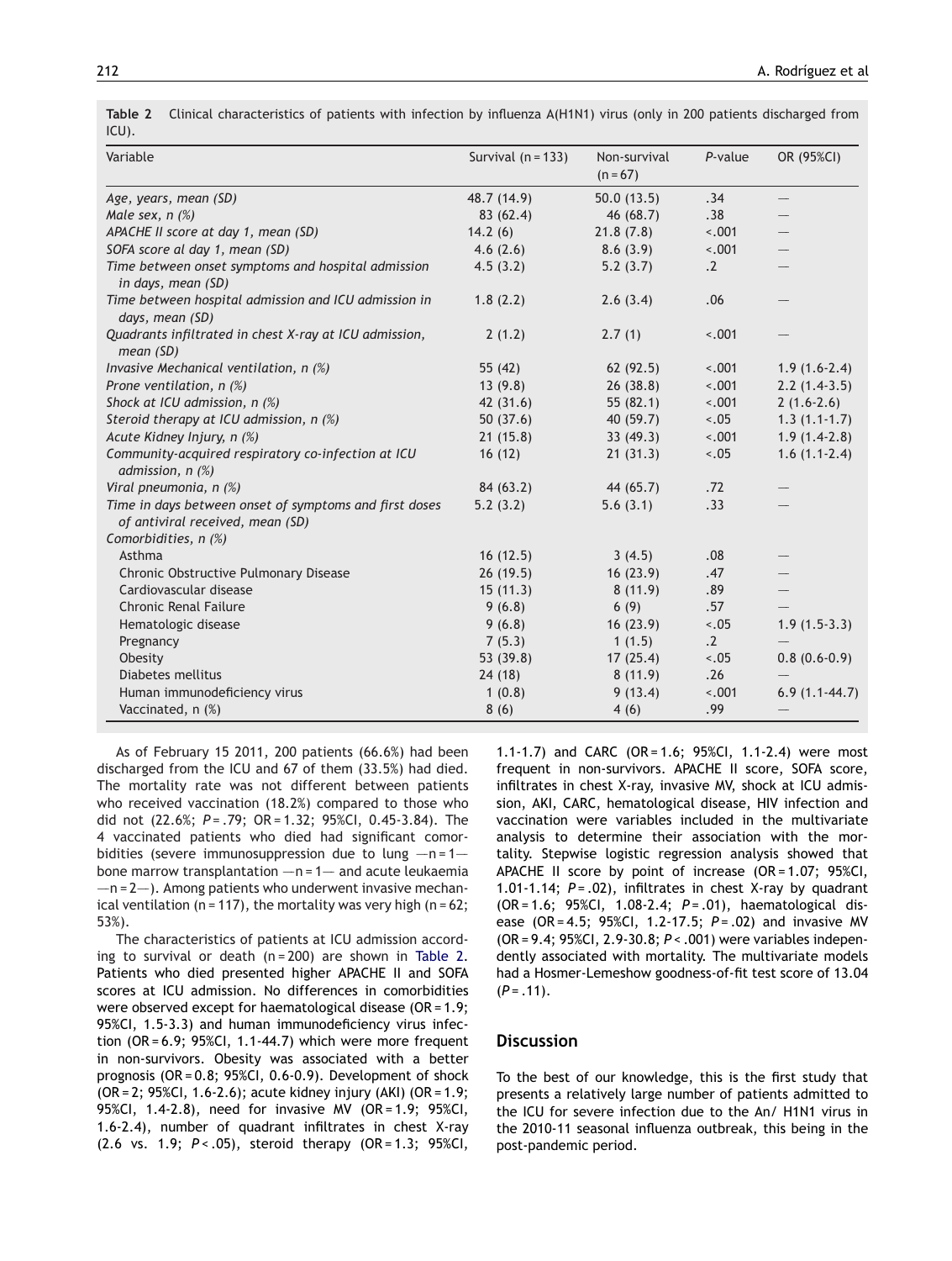<span id="page-4-0"></span>

|          | Table 2 Clinical characteristics of patients with infection by influenza A(H1N1) virus (only in 200 patients discharged from |  |
|----------|------------------------------------------------------------------------------------------------------------------------------|--|
| $ICU$ ). |                                                                                                                              |  |

| Variable                                                                                   | Survival $(n = 133)$ | Non-survival<br>$(n = 67)$ | P-value    | OR (95%CI)               |
|--------------------------------------------------------------------------------------------|----------------------|----------------------------|------------|--------------------------|
| Age, years, mean (SD)                                                                      | 48.7 (14.9)          | 50.0(13.5)                 | .34        |                          |
| Male sex, $n$ $(\%)$                                                                       | 83 (62.4)            | 46 (68.7)                  | .38        |                          |
| APACHE II score at day 1, mean (SD)                                                        | 14.2(6)              | 21.8(7.8)                  | $-.001$    | $\overline{\phantom{0}}$ |
| SOFA score al day 1, mean (SD)                                                             | 4.6(2.6)             | 8.6(3.9)                   | $-.001$    |                          |
| Time between onset symptoms and hospital admission<br>in days, mean (SD)                   | 4.5(3.2)             | 5.2(3.7)                   | $\cdot$ .2 |                          |
| Time between hospital admission and ICU admission in<br>days, mean (SD)                    | 1.8(2.2)             | 2.6(3.4)                   | .06        |                          |
| Quadrants infiltrated in chest X-ray at ICU admission,<br>mean(SD)                         | 2(1.2)               | 2.7(1)                     | $-.001$    |                          |
| Invasive Mechanical ventilation, n (%)                                                     | 55(42)               | 62(92.5)                   | $-.001$    | $1.9(1.6-2.4)$           |
| Prone ventilation, $n$ (%)                                                                 | 13(9.8)              | 26(38.8)                   | $-.001$    | $2.2(1.4-3.5)$           |
| Shock at ICU admission, n (%)                                                              | 42(31.6)             | 55(82.1)                   | $-.001$    | $2(1.6-2.6)$             |
| Steroid therapy at ICU admission, n (%)                                                    | 50 $(37.6)$          | 40(59.7)                   | 3.05       | $1.3(1.1-1.7)$           |
| Acute Kidney Injury, n (%)                                                                 | 21(15.8)             | 33(49.3)                   | $-.001$    | $1.9(1.4-2.8)$           |
| Community-acquired respiratory co-infection at ICU<br>admission, n (%)                     | 16(12)               | 21(31.3)                   | $-.05$     | $1.6(1.1-2.4)$           |
| Viral pneumonia, n (%)                                                                     | 84 (63.2)            | 44 (65.7)                  | .72        |                          |
| Time in days between onset of symptoms and first doses<br>of antiviral received, mean (SD) | 5.2(3.2)             | 5.6(3.1)                   | .33        |                          |
| Comorbidities, n (%)                                                                       |                      |                            |            |                          |
| Asthma                                                                                     | 16(12.5)             | 3(4.5)                     | .08        |                          |
| Chronic Obstructive Pulmonary Disease                                                      | 26(19.5)             | 16(23.9)                   | .47        |                          |
| Cardiovascular disease                                                                     | 15(11.3)             | 8(11.9)                    | .89        |                          |
| <b>Chronic Renal Failure</b>                                                               | 9(6.8)               | 6(9)                       | .57        |                          |
| Hematologic disease                                                                        | 9(6.8)               | 16(23.9)                   | $-.05$     | $1.9(1.5-3.3)$           |
| Pregnancy                                                                                  | 7(5.3)               | 1(1.5)                     | $\cdot$ 2  |                          |
| Obesity                                                                                    | 53 $(39.8)$          | 17(25.4)                   | $-.05$     | $0.8(0.6-0.9)$           |
| Diabetes mellitus                                                                          | 24(18)               | 8(11.9)                    | .26        |                          |
| Human immunodeficiency virus                                                               | 1(0.8)               | 9(13.4)                    | $-.001$    | $6.9(1.1-44.7)$          |
| Vaccinated, n (%)                                                                          | 8(6)                 | 4(6)                       | .99        | $\overline{\phantom{0}}$ |

As of February 15 2011, 200 patients (66.6%) had been discharged from the ICU and 67 of them (33.5%) had died. The mortality rate was not different between patients who received vaccination (18.2%) compared to those who did not (22.6%; *P* = .79; OR = 1.32; 95%CI, 0.45-3.84). The 4 vaccinated patients who died had significant comorbidities (severe immunosuppression due to lung  $-n=1$ bone marrow transplantation  $-n = 1 -$  and acute leukaemia  $-$ n = 2 $-$ ). Among patients who underwent invasive mechanical ventilation (n = 117), the mortality was very high (n =  $62$ ; 53%).

The characteristics of patients at ICU admission according to survival or death  $(n = 200)$  are shown in Table 2. Patients who died presented higher APACHE II and SOFA scores at ICU admission. No differences in comorbidities were observed except for haematological disease (OR = 1.9; 95%CI, 1.5-3.3) and human immunodeficiency virus infection ( $OR = 6.9$ ;  $95\%$ CI, 1.1-44.7) which were more frequent in non-survivors. Obesity was associated with a better prognosis (OR = 0.8; 95%CI, 0.6-0.9). Development of shock (OR = 2; 95%CI, 1.6-2.6); acute kidney injury (AKI) (OR = 1.9; 95%CI, 1.4-2.8), need for invasive MV (OR = 1.9; 95%CI, 1.6-2.4), number of quadrant infiltrates in chest X-ray (2.6 vs. 1.9; *P* < .05), steroid therapy (OR = 1.3; 95%CI,

1.1-1.7) and CARC (OR = 1.6; 95%CI, 1.1-2.4) were most frequent in non-survivors. APACHE II score, SOFA score, infiltrates in chest X-ray, invasive MV, shock at ICU admission, AKI, CARC, hematological disease, HIV infection and vaccination were variables included in the multivariate analysis to determine their association with the mortality. Stepwise logistic regression analysis showed that APACHE II score by point of increase (OR = 1.07; 95%CI, 1.01-1.14; *P* = .02), infiltrates in chest X-ray by quadrant (OR = 1.6; 95%CI, 1.08-2.4; *P* = .01), haematological disease (OR = 4.5; 95%CI, 1.2-17.5; *P* = .02) and invasive MV (OR = 9.4; 95%CI, 2.9-30.8; *P* < .001) were variables independently associated with mortality. The multivariate models had a Hosmer-Lemeshow goodness-of-fit test score of 13.04  $(P = .11)$ .

#### **Discussion**

To the best of our knowledge, this is the first study that presents a relatively large number of patients admitted to the ICU for severe infection due to the An/ H1N1 virus in the 2010-11 seasonal influenza outbreak, this being in the post-pandemic period.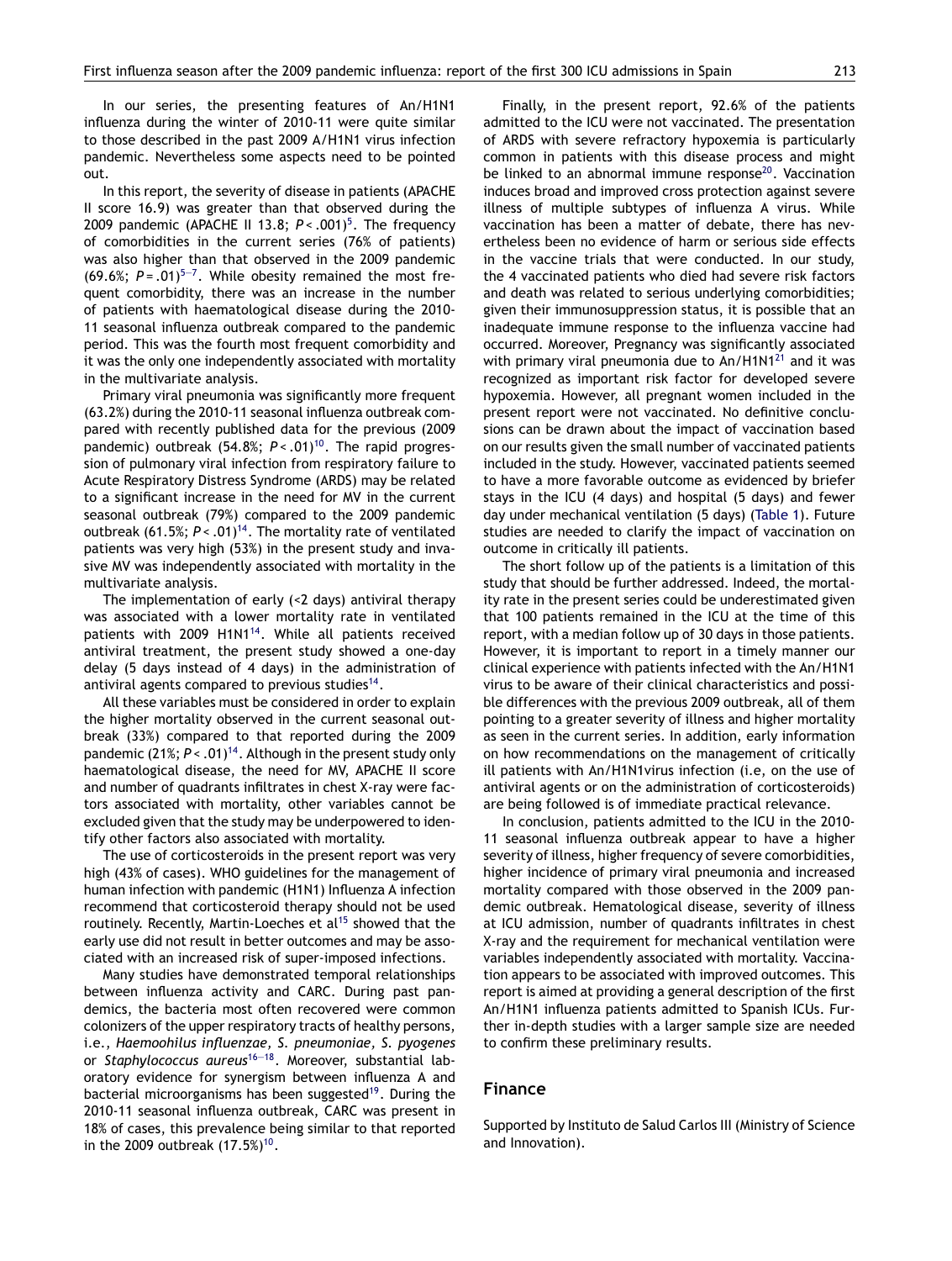In our series, the presenting features of An/H1N1 influenza during the winter of 2010-11 were quite similar to those described in the past 2009 A/H1N1 virus infection pandemic. Nevertheless some aspects need to be pointed out.

In this report, the severity of disease in patients (APACHE II score 16.9) was greater than that observed during the 2009 pandemic (APACHE II 13.8;  $P < .001$ <sup>5</sup>. The frequency of comorbidities in the current series (76% of patients) was also higher than that observed in the 2009 pandemic (69.6%;  $P = .01$ )<sup>5-7</sup>. While obesity remained the most frequent comorbidity, there was an increase in the number of patients with haematological disease during the 2010- 11 seasonal influenza outbreak compared to the pandemic period. This was the fourth most frequent comorbidity and it was the only one independently associated with mortality in the multivariate analysis.

Primary viral pneumonia was significantly more frequent (63.2%) during the 2010-11 seasonal influenza outbreak compared with recently published data for the previous (2009 pandemic) outbreak (54.8%;  $P < .01$ )<sup>10</sup>. The rapid progression of pulmonary viral infection from respiratory failure to Acute Respiratory Distress Syndrome (ARDS) may be related to a significant increase in the need for MV in the current seasonal outbreak (79%) compared to the 2009 pandemic outbreak (61.5%;  $P < .01$ <sup>14</sup>. The mortality rate of ventilated patients was very high (53%) in the present study and invasive MV was independently associated with mortality in the multivariate analysis.

The implementation of early (<2 days) antiviral therapy was associated with a lower mortality rate in ventilated patients with 2009 H1N1<sup>14</sup>. While all patients received antiviral treatment, the present study showed a one-day delay (5 days instead of 4 days) in the administration of antiviral agents compared to previous studies<sup>14</sup>.

All these variables must be considered in order to explain the higher mortality observed in the current seasonal outbreak (33%) compared to that reported during the 2009 pandemic  $(21\%; P < .01)^{14}$ . Although in the present study only haematological disease, the need for MV, APACHE II score and number of quadrants infiltrates in chest X-ray were factors associated with mortality, other variables cannot be excluded given that the study may be underpowered to identify other factors also associated with mortality.

The use of corticosteroids in the present report was very high (43% of cases). WHO guidelines for the management of human infection with pandemic (H1N1) Influenza A infection recommend that corticosteroid therapy should not be used routinely. Recently, Martin-Loeches et al<sup>[15](#page-8-0)</sup> showed that the early use did not result in better outcomes and may be associated with an increased risk of super-imposed infections.

Many studies have demonstrated temporal relationships between influenza activity and CARC. During past pandemics, the bacteria most often recovered were common colonizers of the upper respiratory tracts of healthy persons, i.e., *Haemoohilus influenzae, S. pneumoniae, S. pyogenes* or *Staphylococcus aureus<sup>16-18</sup>. Moreover*, substantial laboratory evidence for synergism between influenza A and bacterial microorganisms has been suggested<sup>19</sup>. During the 2010-11 seasonal influenza outbreak, CARC was present in 18% of cases, this prevalence being similar to that reported in the 2009 outbreak  $(17.5\%)^{10}$ .

Finally, in the present report, 92.6% of the patients admitted to the ICU were not vaccinated. The presentation of ARDS with severe refractory hypoxemia is particularly common in patients with this disease process and might be linked to an abnormal immune response $20$ . Vaccination induces broad and improved cross protection against severe illness of multiple subtypes of influenza A virus. While vaccination has been a matter of debate, there has nevertheless been no evidence of harm or serious side effects in the vaccine trials that were conducted. In our study, the 4 vaccinated patients who died had severe risk factors and death was related to serious underlying comorbidities; given their immunosuppression status, it is possible that an inadequate immune response to the influenza vaccine had occurred. Moreover, Pregnancy was significantly associated with primary viral pneumonia due to  $An/H1N1^{21}$  $An/H1N1^{21}$  $An/H1N1^{21}$  and it was recognized as important risk factor for developed severe hypoxemia. However, all pregnant women included in the present report were not vaccinated. No definitive conclusions can be drawn about the impact of vaccination based on our results given the small number of vaccinated patients included in the study. However, vaccinated patients seemed to have a more favorable outcome as evidenced by briefer stays in the ICU (4 days) and hospital (5 days) and fewer day under mechanical ventilation (5 days) [\(Table 1\).](#page-3-0) Future studies are needed to clarify the impact of vaccination on outcome in critically ill patients.

The short follow up of the patients is a limitation of this study that should be further addressed. Indeed, the mortality rate in the present series could be underestimated given that 100 patients remained in the ICU at the time of this report, with a median follow up of 30 days in those patients. However, it is important to report in a timely manner our clinical experience with patients infected with the An/H1N1 virus to be aware of their clinical characteristics and possible differences with the previous 2009 outbreak, all of them pointing to a greater severity of illness and higher mortality as seen in the current series. In addition, early information on how recommendations on the management of critically ill patients with An/H1N1virus infection (i.e, on the use of antiviral agents or on the administration of corticosteroids) are being followed is of immediate practical relevance.

In conclusion, patients admitted to the ICU in the 2010- 11 seasonal influenza outbreak appear to have a higher severity of illness, higher frequency of severe comorbidities, higher incidence of primary viral pneumonia and increased mortality compared with those observed in the 2009 pandemic outbreak. Hematological disease, severity of illness at ICU admission, number of quadrants infiltrates in chest X-ray and the requirement for mechanical ventilation were variables independently associated with mortality. Vaccination appears to be associated with improved outcomes. This report is aimed at providing a general description of the first An/H1N1 influenza patients admitted to Spanish ICUs. Further in-depth studies with a larger sample size are needed to confirm these preliminary results.

#### **Finance**

Supported by Instituto de Salud Carlos III (Ministry of Science and Innovation).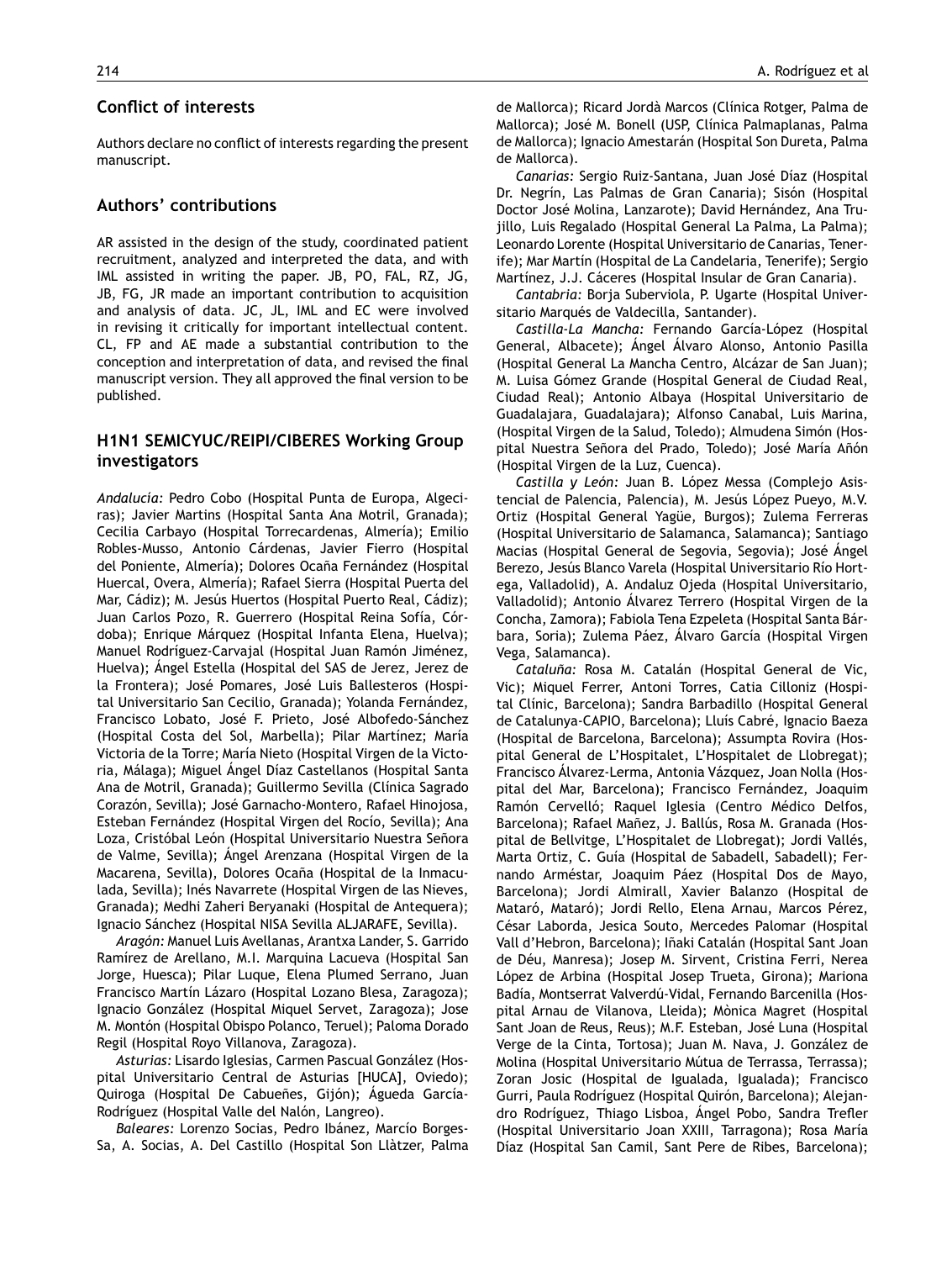# **Conflict of interests**

Authors declare no conflict of interests regarding the present manuscript.

## **Authors' contributions**

AR assisted in the design of the study, coordinated patient recruitment, analyzed and interpreted the data, and with IML assisted in writing the paper. JB, PO, FAL, RZ, JG, JB, FG, JR made an important contribution to acquisition and analysis of data. JC, JL, IML and EC were involved in revising it critically for important intellectual content. CL, FP and AE made a substantial contribution to the conception and interpretation of data, and revised the final manuscript version. They all approved the final version to be published.

# **H1N1 SEMICYUC/REIPI/CIBERES Working Group investigators**

*Andalucía:* Pedro Cobo (Hospital Punta de Europa, Algeciras); Javier Martins (Hospital Santa Ana Motril, Granada); Cecilia Carbayo (Hospital Torrecardenas, Almería); Emilio Robles-Musso, Antonio Cárdenas, Javier Fierro (Hospital del Poniente, Almería); Dolores Ocaña Fernández (Hospital Huercal, Overa, Almería); Rafael Sierra (Hospital Puerta del Mar, Cádiz); M. Jesús Huertos (Hospital Puerto Real, Cádiz); Juan Carlos Pozo, R. Guerrero (Hospital Reina Sofía, Córdoba); Enrique Márquez (Hospital Infanta Elena, Huelva); Manuel Rodríguez-Carvajal (Hospital Juan Ramón Jiménez, Huelva); Ángel Estella (Hospital del SAS de Jerez, Jerez de la Frontera); José Pomares, José Luis Ballesteros (Hospital Universitario San Cecilio, Granada); Yolanda Fernández, Francisco Lobato, José F. Prieto, José Albofedo-Sánchez (Hospital Costa del Sol, Marbella); Pilar Martínez; María Victoria de la Torre; María Nieto (Hospital Virgen de la Victoria, Málaga); Miguel Ángel Díaz Castellanos (Hospital Santa Ana de Motril, Granada); Guillermo Sevilla (Clínica Sagrado Corazón, Sevilla); José Garnacho-Montero, Rafael Hinojosa, Esteban Fernández (Hospital Virgen del Rocío, Sevilla); Ana Loza, Cristóbal León (Hospital Universitario Nuestra Señora de Valme, Sevilla); Ángel Arenzana (Hospital Virgen de la Macarena, Sevilla), Dolores Ocaña (Hospital de la Inmaculada, Sevilla); Inés Navarrete (Hospital Virgen de las Nieves, Granada); Medhi Zaheri Beryanaki (Hospital de Antequera); Ignacio Sánchez (Hospital NISA Sevilla ALJARAFE, Sevilla).

*Aragón:* Manuel Luis Avellanas, Arantxa Lander, S. Garrido Ramírez de Arellano, M.I. Marquina Lacueva (Hospital San Jorge, Huesca); Pilar Luque, Elena Plumed Serrano, Juan Francisco Martín Lázaro (Hospital Lozano Blesa, Zaragoza); Ignacio González (Hospital Miquel Servet, Zaragoza); Jose M. Montón (Hospital Obispo Polanco, Teruel); Paloma Dorado Regil (Hospital Royo Villanova, Zaragoza).

*Asturias:* Lisardo Iglesias, Carmen Pascual González (Hospital Universitario Central de Asturias [HUCA], Oviedo); Quiroga (Hospital De Cabueñes, Gijón); Águeda García-Rodríguez (Hospital Valle del Nalón, Langreo).

*Baleares:* Lorenzo Socias, Pedro Ibánez, Marcío Borges-Sa, A. Socias, A. Del Castillo (Hospital Son Llàtzer, Palma

de Mallorca); Ricard Jordà Marcos (Clínica Rotger, Palma de Mallorca); José M. Bonell (USP, Clínica Palmaplanas, Palma de Mallorca); Ignacio Amestarán (Hospital Son Dureta, Palma de Mallorca).

*Canarias:* Sergio Ruiz-Santana, Juan José Díaz (Hospital Dr. Negrín, Las Palmas de Gran Canaria); Sisón (Hospital Doctor José Molina, Lanzarote); David Hernández, Ana Trujillo, Luis Regalado (Hospital General La Palma, La Palma); Leonardo Lorente (Hospital Universitario de Canarias, Tenerife); Mar Martín (Hospital de La Candelaria, Tenerife); Sergio Martínez, J.J. Cáceres (Hospital Insular de Gran Canaria).

*Cantabria:* Borja Suberviola, P. Ugarte (Hospital Universitario Marqués de Valdecilla, Santander).

*Castilla-La Mancha:* Fernando García-López (Hospital General, Albacete); Ángel Álvaro Alonso, Antonio Pasilla (Hospital General La Mancha Centro, Alcázar de San Juan); M. Luisa Gómez Grande (Hospital General de Ciudad Real, Ciudad Real); Antonio Albaya (Hospital Universitario de Guadalajara, Guadalajara); Alfonso Canabal, Luis Marina, (Hospital Virgen de la Salud, Toledo); Almudena Simón (Hospital Nuestra Señora del Prado, Toledo); José María Añón (Hospital Virgen de la Luz, Cuenca).

*Castilla y León:* Juan B. López Messa (Complejo Asistencial de Palencia, Palencia), M. Jesús López Pueyo, M.V. Ortiz (Hospital General Yagüe, Burgos); Zulema Ferreras (Hospital Universitario de Salamanca, Salamanca); Santiago Macias (Hospital General de Segovia, Segovia); José Ángel Berezo, Jesús Blanco Varela (Hospital Universitario Río Hortega, Valladolid), A. Andaluz Ojeda (Hospital Universitario, Valladolid); Antonio Álvarez Terrero (Hospital Virgen de la Concha, Zamora); Fabiola Tena Ezpeleta (Hospital Santa Bárbara, Soria); Zulema Páez, Álvaro García (Hospital Virgen Vega, Salamanca).

*Cataluna: ˜* Rosa M. Catalán (Hospital General de Vic, Vic); Miquel Ferrer, Antoni Torres, Catia Cilloniz (Hospital Clínic, Barcelona); Sandra Barbadillo (Hospital General de Catalunya-CAPIO, Barcelona); Lluís Cabré, Ignacio Baeza (Hospital de Barcelona, Barcelona); Assumpta Rovira (Hospital General de L'Hospitalet, L'Hospitalet de Llobregat); Francisco Álvarez-Lerma, Antonia Vázquez, Joan Nolla (Hospital del Mar, Barcelona); Francisco Fernández, Joaquim Ramón Cervelló; Raquel Iglesia (Centro Médico Delfos, Barcelona); Rafael Mañez, J. Ballús, Rosa M. Granada (Hospital de Bellvitge, L'Hospitalet de Llobregat); Jordi Vallés, Marta Ortiz, C. Guía (Hospital de Sabadell, Sabadell); Fernando Arméstar, Joaquim Páez (Hospital Dos de Mayo, Barcelona); Jordi Almirall, Xavier Balanzo (Hospital de Mataró, Mataró); Jordi Rello, Elena Arnau, Marcos Pérez, César Laborda, Jesica Souto, Mercedes Palomar (Hospital Vall d'Hebron, Barcelona); Iñaki Catalán (Hospital Sant Joan de Déu, Manresa); Josep M. Sirvent, Cristina Ferri, Nerea López de Arbina (Hospital Josep Trueta, Girona); Mariona Badía, Montserrat Valverdú-Vidal, Fernando Barcenilla (Hospital Arnau de Vilanova, Lleida); Mònica Magret (Hospital Sant Joan de Reus, Reus); M.F. Esteban, José Luna (Hospital Verge de la Cinta, Tortosa); Juan M. Nava, J. González de Molina (Hospital Universitario Mútua de Terrassa, Terrassa); Zoran Josic (Hospital de Igualada, Igualada); Francisco Gurri, Paula Rodríguez (Hospital Quirón, Barcelona); Alejandro Rodríguez, Thiago Lisboa, Ángel Pobo, Sandra Trefler (Hospital Universitario Joan XXIII, Tarragona); Rosa María Díaz (Hospital San Camil, Sant Pere de Ribes, Barcelona);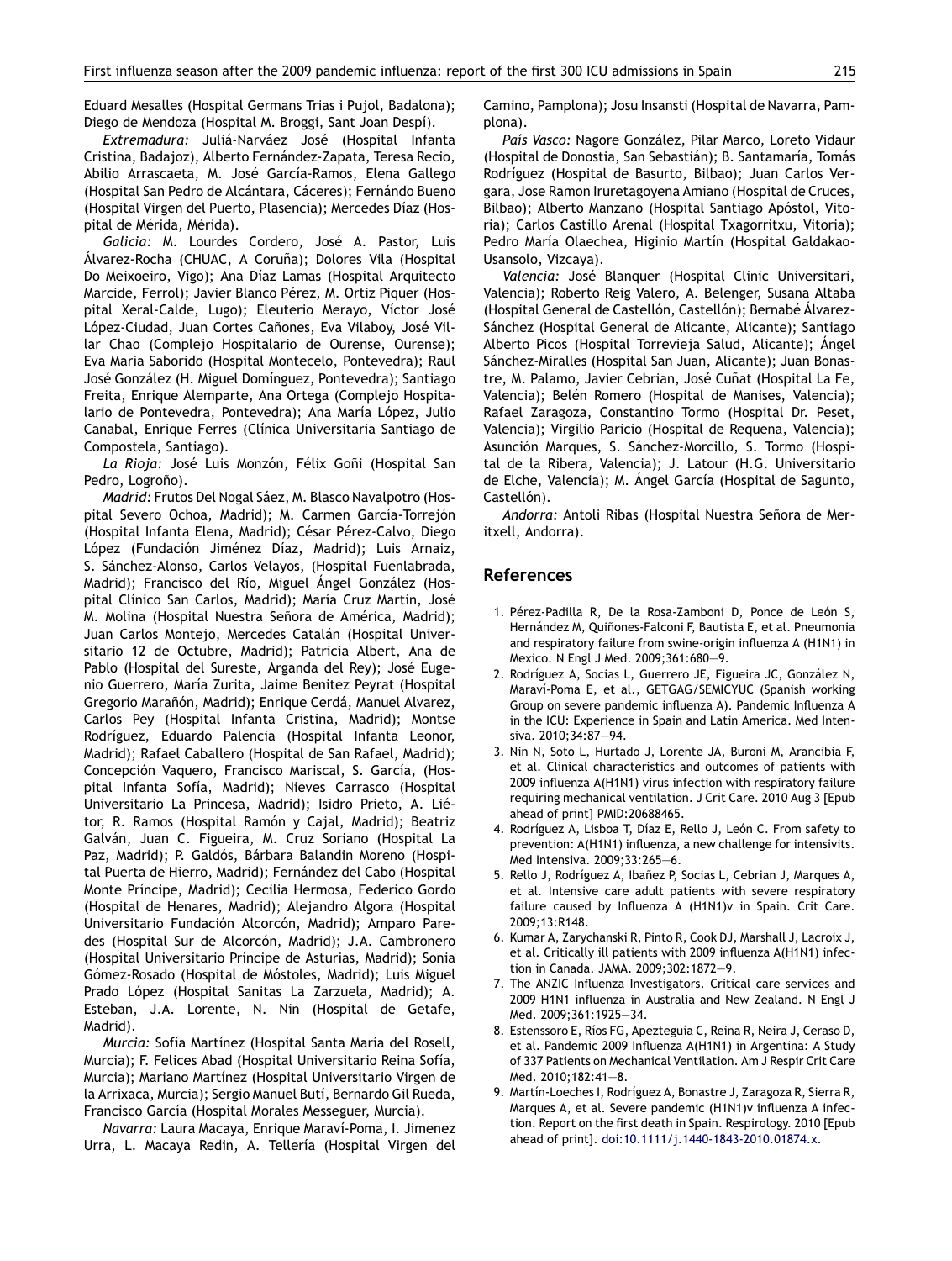<span id="page-7-0"></span>Eduard Mesalles (Hospital Germans Trias i Pujol, Badalona); Diego de Mendoza (Hospital M. Broggi, Sant Joan Despí).

*Extremadura:* Juliá-Narváez José (Hospital Infanta Cristina, Badajoz), Alberto Fernández-Zapata, Teresa Recio, Abilio Arrascaeta, M. José García-Ramos, Elena Gallego (Hospital San Pedro de Alcántara, Cáceres); Fernándo Bueno (Hospital Virgen del Puerto, Plasencia); Mercedes Díaz (Hospital de Mérida, Mérida).

*Galicia:* M. Lourdes Cordero, José A. Pastor, Luis Álvarez-Rocha (CHUAC, A Coruña); Dolores Vila (Hospital Do Meixoeiro, Vigo); Ana Díaz Lamas (Hospital Arquitecto Marcide, Ferrol); Javier Blanco Pérez, M. Ortiz Piquer (Hospital Xeral-Calde, Lugo); Eleuterio Merayo, Víctor José López-Ciudad, Juan Cortes Cañones, Eva Vilaboy, José Villar Chao (Complejo Hospitalario de Ourense, Ourense); Eva Maria Saborido (Hospital Montecelo, Pontevedra); Raul José González (H. Miguel Domínguez, Pontevedra); Santiago Freita, Enrique Alemparte, Ana Ortega (Complejo Hospitalario de Pontevedra, Pontevedra); Ana María López, Julio Canabal, Enrique Ferres (Clínica Universitaria Santiago de Compostela, Santiago).

La Rioja: José Luis Monzón, Félix Goñi (Hospital San Pedro, Logroño).

*Madrid:* Frutos Del Nogal Sáez, M. Blasco Navalpotro (Hospital Severo Ochoa, Madrid); M. Carmen García-Torrejón (Hospital Infanta Elena, Madrid); César Pérez-Calvo, Diego López (Fundación Jiménez Díaz, Madrid); Luis Arnaiz, S. Sánchez-Alonso, Carlos Velayos, (Hospital Fuenlabrada, Madrid); Francisco del Río, Miguel Ángel González (Hospital Clínico San Carlos, Madrid); María Cruz Martín, José M. Molina (Hospital Nuestra Señora de América, Madrid); Juan Carlos Montejo, Mercedes Catalán (Hospital Universitario 12 de Octubre, Madrid); Patricia Albert, Ana de Pablo (Hospital del Sureste, Arganda del Rey); José Eugenio Guerrero, María Zurita, Jaime Benitez Peyrat (Hospital Gregorio Marañón, Madrid); Enrique Cerdá, Manuel Alvarez, Carlos Pey (Hospital Infanta Cristina, Madrid); Montse Rodríguez, Eduardo Palencia (Hospital Infanta Leonor, Madrid); Rafael Caballero (Hospital de San Rafael, Madrid); Concepción Vaquero, Francisco Mariscal, S. García, (Hospital Infanta Sofía, Madrid); Nieves Carrasco (Hospital Universitario La Princesa, Madrid); Isidro Prieto, A. Liétor, R. Ramos (Hospital Ramón y Cajal, Madrid); Beatriz Galván, Juan C. Figueira, M. Cruz Soriano (Hospital La Paz, Madrid); P. Galdós, Bárbara Balandin Moreno (Hospital Puerta de Hierro, Madrid); Fernández del Cabo (Hospital Monte Príncipe, Madrid); Cecilia Hermosa, Federico Gordo (Hospital de Henares, Madrid); Alejandro Algora (Hospital Universitario Fundación Alcorcón, Madrid); Amparo Paredes (Hospital Sur de Alcorcón, Madrid); J.A. Cambronero (Hospital Universitario Príncipe de Asturias, Madrid); Sonia Gómez-Rosado (Hospital de Móstoles, Madrid); Luis Miguel Prado López (Hospital Sanitas La Zarzuela, Madrid); A. Esteban, J.A. Lorente, N. Nin (Hospital de Getafe, Madrid).

*Murcia:* Sofía Martínez (Hospital Santa María del Rosell, Murcia); F. Felices Abad (Hospital Universitario Reina Sofía, Murcia); Mariano Martínez (Hospital Universitario Virgen de la Arrixaca, Murcia); Sergio Manuel Butí, Bernardo Gil Rueda, Francisco García (Hospital Morales Messeguer, Murcia).

*Navarra:* Laura Macaya, Enrique Maraví-Poma, I. Jimenez Urra, L. Macaya Redin, A. Tellería (Hospital Virgen del Camino, Pamplona); Josu Insansti (Hospital de Navarra, Pamplona).

*País Vasco:* Nagore González, Pilar Marco, Loreto Vidaur (Hospital de Donostia, San Sebastián); B. Santamaría, Tomás Rodríguez (Hospital de Basurto, Bilbao); Juan Carlos Vergara, Jose Ramon Iruretagoyena Amiano (Hospital de Cruces, Bilbao); Alberto Manzano (Hospital Santiago Apóstol, Vitoria); Carlos Castillo Arenal (Hospital Txagorritxu, Vitoria); Pedro María Olaechea, Higinio Martín (Hospital Galdakao-Usansolo, Vizcaya).

*Valencia:* José Blanquer (Hospital Clinic Universitari, Valencia); Roberto Reig Valero, A. Belenger, Susana Altaba (Hospital General de Castellón, Castellón); Bernabé Álvarez-Sánchez (Hospital General de Alicante, Alicante); Santiago Alberto Picos (Hospital Torrevieja Salud, Alicante); Ángel Sánchez-Miralles (Hospital San Juan, Alicante); Juan Bonastre, M. Palamo, Javier Cebrian, José Cuñat (Hospital La Fe, Valencia); Belén Romero (Hospital de Manises, Valencia); Rafael Zaragoza, Constantino Tormo (Hospital Dr. Peset, Valencia); Virgilio Paricio (Hospital de Requena, Valencia); Asunción Marques, S. Sánchez-Morcillo, S. Tormo (Hospital de la Ribera, Valencia); J. Latour (H.G. Universitario de Elche, Valencia); M. Ángel García (Hospital de Sagunto, Castellón).

*Andorra: Antoli Ribas (Hospital Nuestra Señora de Mer*itxell, Andorra).

#### **References**

- 1. Pérez-Padilla R, De la Rosa-Zamboni D, Ponce de León S, Hernández M, Quiñones-Falconi F, Bautista E, et al. Pneumonia and respiratory failure from swine-origin influenza A (H1N1) in Mexico. N Engl J Med. 2009;361:680—9.
- 2. Rodríguez A, Socias L, Guerrero JE, Figueira JC, González N, Maraví-Poma E, et al., GETGAG/SEMICYUC (Spanish working Group on severe pandemic influenza A). Pandemic Influenza A in the ICU: Experience in Spain and Latin America. Med Intensiva. 2010;34:87—94.
- 3. Nin N, Soto L, Hurtado J, Lorente JA, Buroni M, Arancibia F, et al. Clinical characteristics and outcomes of patients with 2009 influenza A(H1N1) virus infection with respiratory failure requiring mechanical ventilation. J Crit Care. 2010 Aug 3 [Epub ahead of print] PMID:20688465.
- 4. Rodríguez A, Lisboa T, Díaz E, Rello J, León C. From safety to prevention: A(H1N1) influenza, a new challenge for intensivits. Med Intensiva. 2009;33:265—6.
- 5. Rello J, Rodríguez A, Ibañez P, Socias L, Cebrian J, Marques A, et al. Intensive care adult patients with severe respiratory failure caused by Influenza A (H1N1)v in Spain. Crit Care. 2009;13:R148.
- 6. Kumar A, Zarychanski R, Pinto R, Cook DJ, Marshall J, Lacroix J, et al. Critically ill patients with 2009 influenza A(H1N1) infection in Canada. JAMA. 2009;302:1872—9.
- 7. The ANZIC Influenza Investigators. Critical care services and 2009 H1N1 influenza in Australia and New Zealand. N Engl J Med. 2009;361:1925—34.
- 8. Estenssoro E, Ríos FG, Apezteguía C, Reina R, Neira J, Ceraso D, et al. Pandemic 2009 Influenza A(H1N1) in Argentina: A Study of 337 Patients on Mechanical Ventilation. Am J Respir Crit Care Med. 2010;182:41—8.
- 9. Martín-Loeches I, Rodríguez A, Bonastre J, Zaragoza R, Sierra R, Marques A, et al. Severe pandemic (H1N1)v influenza A infection. Report on the first death in Spain. Respirology. 2010 [Epub ahead of print]. [doi:10.1111/j.1440-1843-2010.01874.x](http://dx.doi.org/10.1111/j.1440-1843-2010.01874.x).